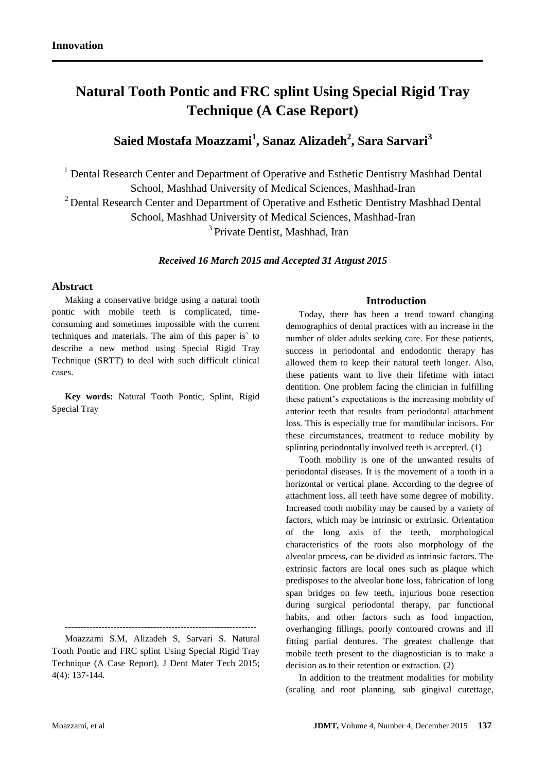# **Natural Tooth Pontic and FRC splint Using Special Rigid Tray Technique (A Case Report)**

## **Saied Mostafa Moazzami<sup>1</sup> , Sanaz Alizadeh<sup>2</sup> , Sara Sarvari<sup>3</sup>**

<sup>1</sup> Dental Research Center and Department of Operative and Esthetic Dentistry Mashhad Dental School, Mashhad University of Medical Sciences, Mashhad-Iran

<sup>2</sup> Dental Research Center and Department of Operative and Esthetic Dentistry Mashhad Dental

School, Mashhad University of Medical Sciences, Mashhad-Iran

<sup>3</sup> Private Dentist, Mashhad, Iran

*Received 16 March 2015 and Accepted 31 August 2015*

### **Abstract**

Making a conservative bridge using a natural tooth pontic with mobile teeth is complicated, timeconsuming and sometimes impossible with the current techniques and materials. The aim of this paper is` to describe a new method using Special Rigid Tray Technique (SRTT) to deal with such difficult clinical cases.

**Key words:** Natural Tooth Pontic, Splint, Rigid Special Tray

## **Introduction**

Today, there has been a trend toward changing demographics of dental practices with an increase in the number of older adults seeking care. For these patients, success in periodontal and endodontic therapy has allowed them to keep their natural teeth longer. Also, these patients want to live their lifetime with intact dentition. One problem facing the clinician in fulfilling these patient's expectations is the increasing mobility of anterior teeth that results from periodontal attachment loss. This is especially true for mandibular incisors. For these circumstances, treatment to reduce mobility by splinting periodontally involved teeth is accepted. (1)

Tooth mobility is one of the unwanted results of periodontal diseases. It is the movement of a tooth in a horizontal or vertical plane. According to the degree of attachment loss, all teeth have some degree of mobility. Increased tooth mobility may be caused by a variety of factors, which may be intrinsic or extrinsic. Orientation of the long axis of the teeth, morphological characteristics of the roots also morphology of the alveolar process, can be divided as intrinsic factors. The extrinsic factors are local ones such as plaque which predisposes to the alveolar bone loss, fabrication of long span bridges on few teeth, injurious bone resection during surgical periodontal therapy, par functional habits, and other factors such as food impaction, overhanging fillings, poorly contoured crowns and ill fitting partial dentures. The greatest challenge that mobile teeth present to the diagnostician is to make a decision as to their retention or extraction. (2)

In addition to the treatment modalities for mobility (scaling and root planning, sub gingival curettage,

<sup>---------------------------------------------------------------</sup> Moazzami S.M, Alizadeh S, Sarvari S. Natural Tooth Pontic and FRC splint Using Special Rigid Tray Technique (A Case Report). J Dent Mater Tech 2015; 4(4): 137-144.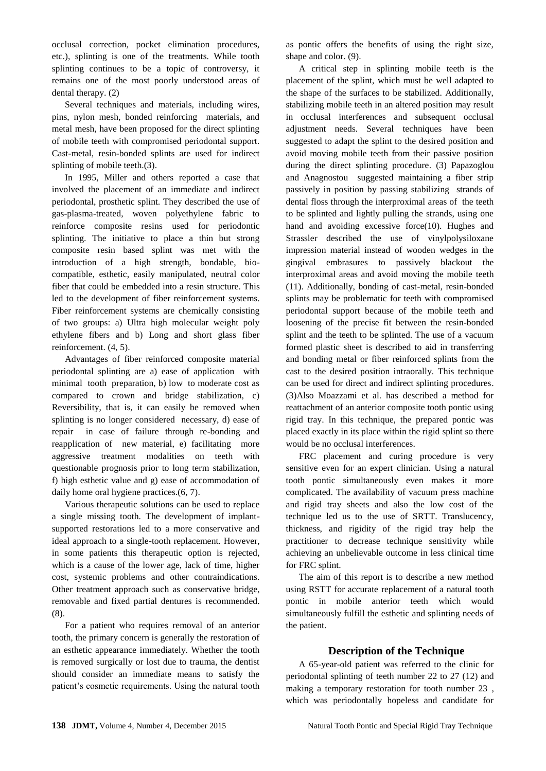occlusal correction, pocket elimination procedures, etc.), splinting is one of the treatments. While tooth splinting continues to be a topic of controversy, it remains one of the most poorly understood areas of dental therapy. (2)

Several techniques and materials, including wires, pins, nylon mesh, bonded reinforcing materials, and metal mesh, have been proposed for the direct splinting of mobile teeth with compromised periodontal support. Cast-metal, resin-bonded splints are used for indirect splinting of mobile teeth.(3).

In 1995, Miller and others reported a case that involved the placement of an immediate and indirect periodontal, prosthetic splint. They described the use of gas-plasma-treated, woven polyethylene fabric to reinforce composite resins used for periodontic splinting. The initiative to place a thin but strong composite resin based splint was met with the introduction of a high strength, bondable, biocompatible, esthetic, easily manipulated, neutral color fiber that could be embedded into a resin structure. This led to the development of fiber reinforcement systems. Fiber reinforcement systems are chemically consisting of two groups: a) Ultra high molecular weight poly ethylene fibers and b) Long and short glass fiber reinforcement. (4, 5).

Advantages of fiber reinforced composite material periodontal splinting are a) ease of application with minimal tooth preparation, b) low to moderate cost as compared to crown and bridge stabilization, c) Reversibility, that is, it can easily be removed when splinting is no longer considered necessary, d) ease of repair in case of failure through re-bonding and reapplication of new material, e) facilitating more aggressive treatment modalities on teeth with questionable prognosis prior to long term stabilization, f) high esthetic value and g) ease of accommodation of daily home oral hygiene practices.(6, 7).

Various therapeutic solutions can be used to replace a single missing tooth. The development of implantsupported restorations led to a more conservative and ideal approach to a single-tooth replacement. However, in some patients this therapeutic option is rejected, which is a cause of the lower age, lack of time, higher cost, systemic problems and other contraindications. Other treatment approach such as conservative bridge, removable and fixed partial dentures is recommended. (8).

For a patient who requires removal of an anterior tooth, the primary concern is generally the restoration of an esthetic appearance immediately. Whether the tooth is removed surgically or lost due to trauma, the dentist should consider an immediate means to satisfy the patient's cosmetic requirements. Using the natural tooth as pontic offers the benefits of using the right size, shape and color. (9).

A critical step in splinting mobile teeth is the placement of the splint, which must be well adapted to the shape of the surfaces to be stabilized. Additionally, stabilizing mobile teeth in an altered position may result in occlusal interferences and subsequent occlusal adjustment needs. Several techniques have been suggested to adapt the splint to the desired position and avoid moving mobile teeth from their passive position during the direct splinting procedure. (3) Papazoglou and Anagnostou suggested maintaining a fiber strip passively in position by passing stabilizing strands of dental floss through the interproximal areas of the teeth to be splinted and lightly pulling the strands, using one hand and avoiding excessive force(10). Hughes and Strassler described the use of vinylpolysiloxane impression material instead of wooden wedges in the gingival embrasures to passively blackout the interproximal areas and avoid moving the mobile teeth (11). Additionally, bonding of cast-metal, resin-bonded splints may be problematic for teeth with compromised periodontal support because of the mobile teeth and loosening of the precise fit between the resin-bonded splint and the teeth to be splinted. The use of a vacuum formed plastic sheet is described to aid in transferring and bonding metal or fiber reinforced splints from the cast to the desired position intraorally. This technique can be used for direct and indirect splinting procedures. (3)Also Moazzami et al. has described a method for reattachment of an anterior composite tooth pontic using rigid tray. In this technique, the prepared pontic was placed exactly in its place within the rigid splint so there would be no occlusal interferences.

FRC placement and curing procedure is very sensitive even for an expert clinician. Using a natural tooth pontic simultaneously even makes it more complicated. The availability of vacuum press machine and rigid tray sheets and also the low cost of the technique led us to the use of SRTT. Translucency, thickness, and rigidity of the rigid tray help the practitioner to decrease technique sensitivity while achieving an unbelievable outcome in less clinical time for FRC splint.

The aim of this report is to describe a new method using RSTT for accurate replacement of a natural tooth pontic in mobile anterior teeth which would simultaneously fulfill the esthetic and splinting needs of the patient.

## **Description of the Technique**

A 65-year-old patient was referred to the clinic for periodontal splinting of teeth number 22 to 27 [\(12\)](#page-7-0) and making a temporary restoration for tooth number 23 , which was periodontally hopeless and candidate for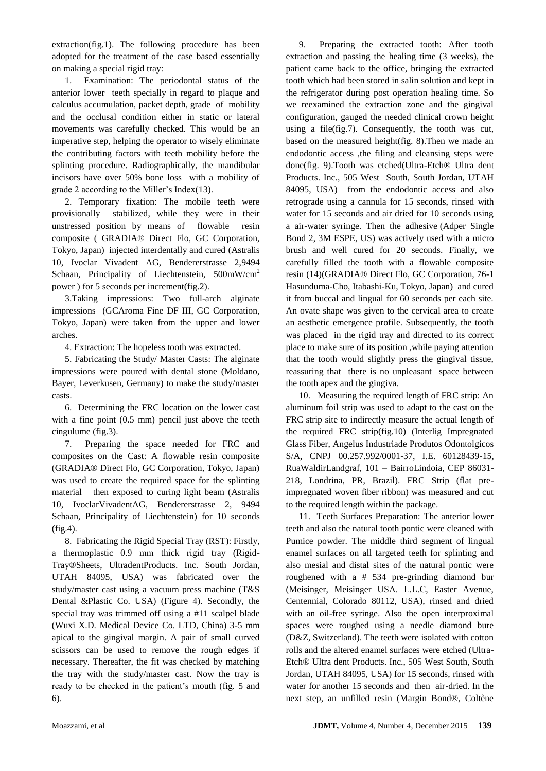extraction(fig.1). The following procedure has been adopted for the treatment of the case based essentially on making a special rigid tray:

1. Examination: The periodontal status of the anterior lower teeth specially in regard to plaque and calculus accumulation, packet depth, grade of mobility and the occlusal condition either in static or lateral movements was carefully checked. This would be an imperative step, helping the operator to wisely eliminate the contributing factors with teeth mobility before the splinting procedure. Radiographically, the mandibular incisors have over 50% bone loss with a mobility of grade 2 according to the Miller's Index[\(13\)](#page-7-1).

2. Temporary fixation: The mobile teeth were provisionally stabilized, while they were in their unstressed position by means of flowable resin composite ( GRADIA® Direct Flo, GC Corporation, Tokyo, Japan) injected interdentally and cured (Astralis 10, Ivoclar Vivadent AG, Bendererstrasse 2,9494 Schaan, Principality of Liechtenstein, 500mW/cm<sup>2</sup> power ) for 5 seconds per increment(fig.2).

3.Taking impressions: Two full-arch alginate impressions (GCAroma Fine DF III, GC Corporation, Tokyo, Japan) were taken from the upper and lower arches.

4. Extraction: The hopeless tooth was extracted.

5. Fabricating the Study/ Master Casts: The alginate impressions were poured with dental stone (Moldano, Bayer, Leverkusen, Germany) to make the study/master casts.

6. Determining the FRC location on the lower cast with a fine point (0.5 mm) pencil just above the teeth cingulume (fig.3).

7. Preparing the space needed for FRC and composites on the Cast: A flowable resin composite (GRADIA® Direct Flo, GC Corporation, Tokyo, Japan) was used to create the required space for the splinting material then exposed to curing light beam (Astralis 10, IvoclarVivadentAG, Bendererstrasse 2, 9494 Schaan, Principality of Liechtenstein) for 10 seconds (fig.4).

8. Fabricating the Rigid Special Tray (RST): Firstly, a thermoplastic 0.9 mm thick rigid tray (Rigid-Tray®Sheets, UltradentProducts. Inc. South Jordan, UTAH 84095, USA) was fabricated over the study/master cast using a vacuum press machine (T&S Dental &Plastic Co. USA) (Figure 4). Secondly, the special tray was trimmed off using a #11 scalpel blade (Wuxi X.D. Medical Device Co. LTD, China) 3-5 mm apical to the gingival margin. A pair of small curved scissors can be used to remove the rough edges if necessary. Thereafter, the fit was checked by matching the tray with the study/master cast. Now the tray is ready to be checked in the patient's mouth (fig. 5 and 6).

9. Preparing the extracted tooth: After tooth extraction and passing the healing time (3 weeks), the patient came back to the office, bringing the extracted tooth which had been stored in salin solution and kept in the refrigerator during post operation healing time. So we reexamined the extraction zone and the gingival configuration, gauged the needed clinical crown height using a file(fig.7). Consequently, the tooth was cut, based on the measured height(fig. 8).Then we made an endodontic access ,the filing and cleansing steps were done(fig. 9).Tooth was etched(Ultra-Etch® Ultra dent Products. Inc., 505 West South, South Jordan, UTAH 84095, USA) from the endodontic access and also retrograde using a cannula for 15 seconds, rinsed with water for 15 seconds and air dried for 10 seconds using a air-water syringe. Then the adhesive (Adper Single Bond 2, 3M ESPE, US) was actively used with a micro brush and well cured for 20 seconds. Finally, we carefully filled the tooth with a flowable composite resin [\(14\)](#page-7-2)(GRADIA® Direct Flo, GC Corporation, 76-1 Hasunduma-Cho, Itabashi-Ku, Tokyo, Japan) and cured it from buccal and lingual for 60 seconds per each site. An ovate shape was given to the cervical area to create an aesthetic emergence profile. Subsequently, the tooth was placed in the rigid tray and directed to its correct place to make sure of its position ,while paying attention that the tooth would slightly press the gingival tissue, reassuring that there is no unpleasant space between the tooth apex and the gingiva.

10. Measuring the required length of FRC strip: An aluminum foil strip was used to adapt to the cast on the FRC strip site to indirectly measure the actual length of the required FRC strip(fig.10) (Interlig Impregnated Glass Fiber, Angelus Industriade Produtos Odontolgicos S/A, CNPJ 00.257.992/0001-37, I.E. 60128439-15, RuaWaldirLandgraf, 101 – BairroLindoia, CEP 86031- 218, Londrina, PR, Brazil). FRC Strip (flat preimpregnated woven fiber ribbon) was measured and cut to the required length within the package.

11. Teeth Surfaces Preparation: The anterior lower teeth and also the natural tooth pontic were cleaned with Pumice powder. The middle third segment of lingual enamel surfaces on all targeted teeth for splinting and also mesial and distal sites of the natural pontic were roughened with a # 534 pre-grinding diamond bur (Meisinger, Meisinger USA. L.L.C, Easter Avenue, Centennial, Colorado 80112, USA), rinsed and dried with an oil-free syringe. Also the open interproximal spaces were roughed using a needle diamond bure (D&Z, Switzerland). The teeth were isolated with cotton rolls and the altered enamel surfaces were etched (Ultra-Etch® Ultra dent Products. Inc., 505 West South, South Jordan, UTAH 84095, USA) for 15 seconds, rinsed with water for another 15 seconds and then air-dried. In the next step, an unfilled resin (Margin Bond®, Coltène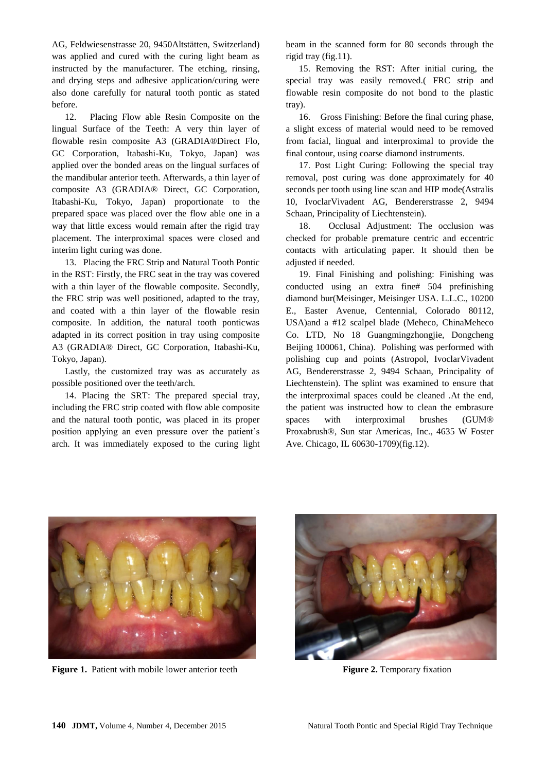AG, Feldwiesenstrasse 20, 9450Altstätten, Switzerland) was applied and cured with the curing light beam as instructed by the manufacturer. The etching, rinsing, and drying steps and adhesive application/curing were also done carefully for natural tooth pontic as stated before.

12. Placing Flow able Resin Composite on the lingual Surface of the Teeth: A very thin layer of flowable resin composite A3 (GRADIA®Direct Flo, GC Corporation, Itabashi-Ku, Tokyo, Japan) was applied over the bonded areas on the lingual surfaces of the mandibular anterior teeth. Afterwards, a thin layer of composite A3 (GRADIA® Direct, GC Corporation, Itabashi-Ku, Tokyo, Japan) proportionate to the prepared space was placed over the flow able one in a way that little excess would remain after the rigid tray placement. The interproximal spaces were closed and interim light curing was done.

13. Placing the FRC Strip and Natural Tooth Pontic in the RST: Firstly, the FRC seat in the tray was covered with a thin layer of the flowable composite. Secondly, the FRC strip was well positioned, adapted to the tray, and coated with a thin layer of the flowable resin composite. In addition, the natural tooth ponticwas adapted in its correct position in tray using composite A3 (GRADIA® Direct, GC Corporation, Itabashi-Ku, Tokyo, Japan).

Lastly, the customized tray was as accurately as possible positioned over the teeth/arch.

14. Placing the SRT: The prepared special tray, including the FRC strip coated with flow able composite and the natural tooth pontic, was placed in its proper position applying an even pressure over the patient's arch. It was immediately exposed to the curing light

beam in the scanned form for 80 seconds through the rigid tray (fig.11).

15. Removing the RST: After initial curing, the special tray was easily removed.( FRC strip and flowable resin composite do not bond to the plastic tray).

16. Gross Finishing: Before the final curing phase, a slight excess of material would need to be removed from facial, lingual and interproximal to provide the final contour, using coarse diamond instruments.

17. Post Light Curing: Following the special tray removal, post curing was done approximately for 40 seconds per tooth using line scan and HIP mode(Astralis 10, IvoclarVivadent AG, Bendererstrasse 2, 9494 Schaan, Principality of Liechtenstein).

18. Occlusal Adjustment: The occlusion was checked for probable premature centric and eccentric contacts with articulating paper. It should then be adjusted if needed.

19. Final Finishing and polishing: Finishing was conducted using an extra fine# 504 prefinishing diamond bur(Meisinger, Meisinger USA. L.L.C., 10200 E., Easter Avenue, Centennial, Colorado 80112, USA)and a #12 scalpel blade (Meheco, ChinaMeheco Co. LTD, No 18 Guangmingzhongjie, Dongcheng Beijing 100061, China). Polishing was performed with polishing cup and points (Astropol, IvoclarVivadent AG, Bendererstrasse 2, 9494 Schaan, Principality of Liechtenstein). The splint was examined to ensure that the interproximal spaces could be cleaned .At the end, the patient was instructed how to clean the embrasure spaces with interproximal brushes (GUM® Proxabrush®, Sun star Americas, Inc., 4635 W Foster Ave. Chicago, IL 60630-1709)(fig.12).



**Figure 1.** Patient with mobile lower anterior teeth Figure 2. Temporary fixation

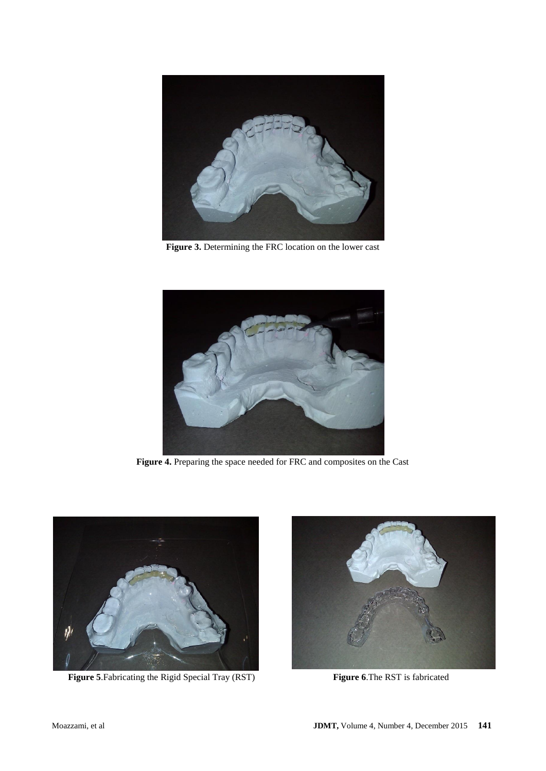

**Figure 3.** Determining the FRC location on the lower cast



**Figure 4.** Preparing the space needed for FRC and composites on the Cast



 **Figure 5**.Fabricating the Rigid Special Tray (RST) **Figure 6**.The RST is fabricated

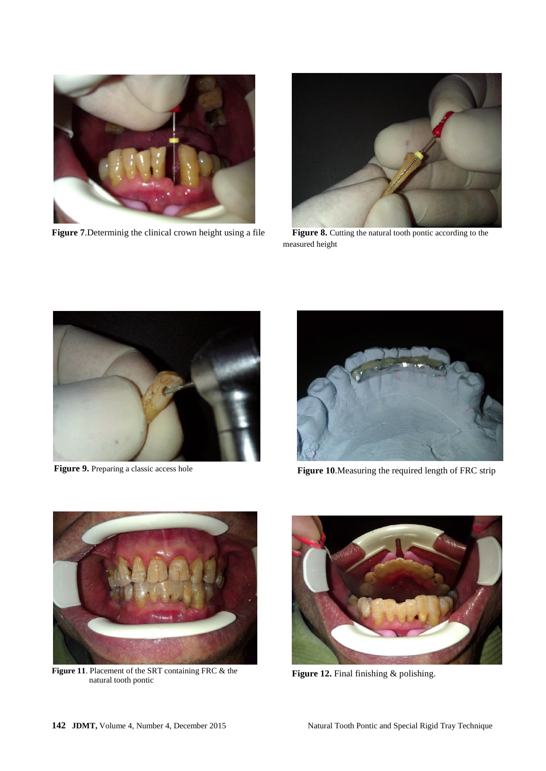

**Figure 7.** Determinig the clinical crown height using a file **Figure 8.** Cutting the natural tooth pontic according to the



measured height



**Figure 9.** Preparing a classic access hole



**Figure 10**.Measuring the required length of FRC strip



**Figure 11**. Placement of the SRT containing FRC & the natural tooth pontic



**Figure 12.** Final finishing & polishing.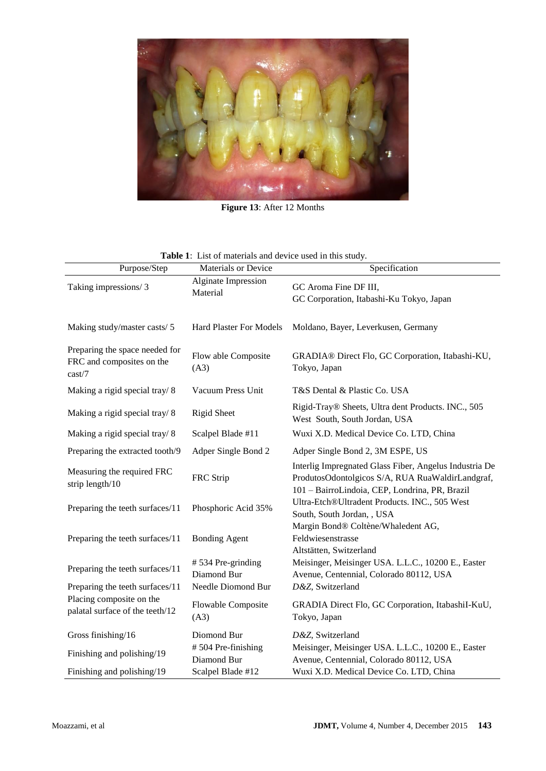

**Figure 13**: After 12 Months

| <b>Table 1:</b> List of materials and device used in this study. |  |
|------------------------------------------------------------------|--|
|------------------------------------------------------------------|--|

| Purpose/Step                                                          | <b>Materials or Device</b>        | Specification                                                                                                                                                |
|-----------------------------------------------------------------------|-----------------------------------|--------------------------------------------------------------------------------------------------------------------------------------------------------------|
| Taking impressions/3                                                  | Alginate Impression<br>Material   | GC Aroma Fine DF III,<br>GC Corporation, Itabashi-Ku Tokyo, Japan                                                                                            |
| Making study/master casts/5                                           | <b>Hard Plaster For Models</b>    | Moldano, Bayer, Leverkusen, Germany                                                                                                                          |
| Preparing the space needed for<br>FRC and composites on the<br>cast/7 | Flow able Composite<br>(A3)       | GRADIA® Direct Flo, GC Corporation, Itabashi-KU,<br>Tokyo, Japan                                                                                             |
| Making a rigid special tray/8                                         | Vacuum Press Unit                 | T&S Dental & Plastic Co. USA                                                                                                                                 |
| Making a rigid special tray/8                                         | <b>Rigid Sheet</b>                | Rigid-Tray® Sheets, Ultra dent Products. INC., 505<br>West South, South Jordan, USA                                                                          |
| Making a rigid special tray/8                                         | Scalpel Blade #11                 | Wuxi X.D. Medical Device Co. LTD, China                                                                                                                      |
| Preparing the extracted tooth/9                                       | Adper Single Bond 2               | Adper Single Bond 2, 3M ESPE, US                                                                                                                             |
| Measuring the required FRC<br>strip length/10                         | FRC Strip                         | Interlig Impregnated Glass Fiber, Angelus Industria De<br>ProdutosOdontolgicos S/A, RUA RuaWaldirLandgraf,<br>101 - BairroLindoia, CEP, Londrina, PR, Brazil |
| Preparing the teeth surfaces/11                                       | Phosphoric Acid 35%               | Ultra-Etch®Ultradent Products. INC., 505 West<br>South, South Jordan, , USA                                                                                  |
| Preparing the teeth surfaces/11                                       | <b>Bonding Agent</b>              | Margin Bond® Coltène/Whaledent AG,<br>Feldwiesenstrasse<br>Altstätten, Switzerland                                                                           |
| Preparing the teeth surfaces/11                                       | #534 Pre-grinding<br>Diamond Bur  | Meisinger, Meisinger USA. L.L.C., 10200 E., Easter<br>Avenue, Centennial, Colorado 80112, USA                                                                |
| Preparing the teeth surfaces/11                                       | Needle Diomond Bur                | D&Z, Switzerland                                                                                                                                             |
| Placing composite on the<br>palatal surface of the teeth/12           | <b>Flowable Composite</b><br>(A3) | GRADIA Direct Flo, GC Corporation, ItabashiI-KuU,<br>Tokyo, Japan                                                                                            |
| Gross finishing/16                                                    | Diomond Bur                       | D&Z, Switzerland                                                                                                                                             |
| Finishing and polishing/19                                            | #504 Pre-finishing<br>Diamond Bur | Meisinger, Meisinger USA. L.L.C., 10200 E., Easter<br>Avenue, Centennial, Colorado 80112, USA                                                                |
| Finishing and polishing/19                                            | Scalpel Blade #12                 | Wuxi X.D. Medical Device Co. LTD, China                                                                                                                      |